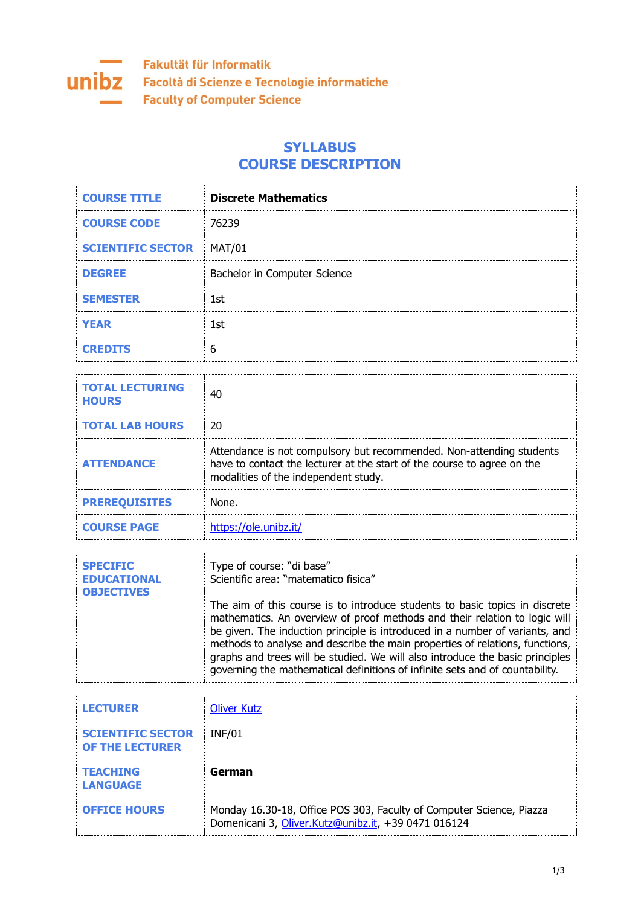

## **SYLLABUS COURSE DESCRIPTION**

| <b>COURSE TITLE</b>      | <b>Discrete Mathematics</b>  |
|--------------------------|------------------------------|
| <b>COURSE CODE</b>       | 76239                        |
| <b>SCIENTIFIC SECTOR</b> | <b>MAT/01</b>                |
| <b>DEGREE</b>            | Bachelor in Computer Science |
| <b>SEMESTER</b>          | 1st                          |
| <b>YEAR</b>              | 1st                          |
| <b>CREDITS</b>           | 6                            |

| <b>TOTAL LECTURING</b><br><b>HOURS</b> | 40                                                                                                                                                                                      |
|----------------------------------------|-----------------------------------------------------------------------------------------------------------------------------------------------------------------------------------------|
| <b>TOTAL LAB HOURS</b>                 | 20                                                                                                                                                                                      |
| <b>ATTENDANCE</b>                      | Attendance is not compulsory but recommended. Non-attending students<br>have to contact the lecturer at the start of the course to agree on the<br>modalities of the independent study. |
| <b>PREREQUISITES</b>                   | None.                                                                                                                                                                                   |
| <b>COURSE PAGE</b>                     | https://ole.unibz.it/                                                                                                                                                                   |

| <b>SPECIFIC</b><br><b>EDUCATIONAL</b><br><b>OBJECTIVES</b> | Type of course: "di base"<br>Scientific area: "matematico fisica"                                                                                                                                                                                                                                                                                                                                                                                                                          |
|------------------------------------------------------------|--------------------------------------------------------------------------------------------------------------------------------------------------------------------------------------------------------------------------------------------------------------------------------------------------------------------------------------------------------------------------------------------------------------------------------------------------------------------------------------------|
|                                                            | The aim of this course is to introduce students to basic topics in discrete<br>mathematics. An overview of proof methods and their relation to logic will<br>be given. The induction principle is introduced in a number of variants, and<br>methods to analyse and describe the main properties of relations, functions,<br>graphs and trees will be studied. We will also introduce the basic principles<br>governing the mathematical definitions of infinite sets and of countability. |

| <b>LECTURER</b>                                    | <b>Oliver Kutz</b> |
|----------------------------------------------------|--------------------|
| <b>SCIENTIFIC SECTOR</b><br><b>OF THE LECTURER</b> | INF/01             |
| <b>TEACHING</b><br><b>LANGUAGE</b>                 | German             |
|                                                    |                    |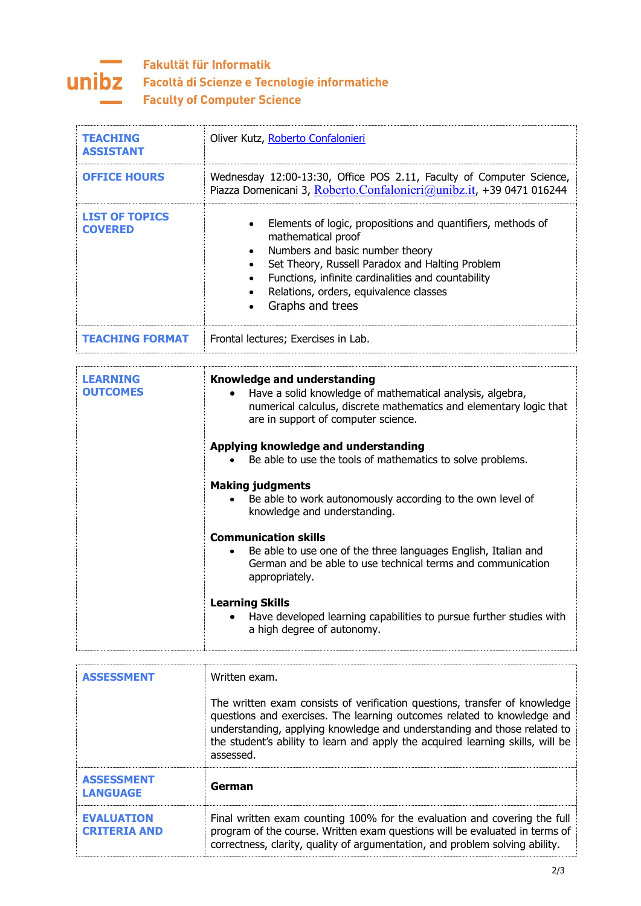

## Fakultät für Informatik **UNIDZ** Facoltà di Scienze e Tecnologie informatiche **Faculty of Computer Science**

| <b>TEACHING</b><br><b>ASSISTANT</b>     | Oliver Kutz, Roberto Confalonieri                                                                                                                                                                                                                                                           |
|-----------------------------------------|---------------------------------------------------------------------------------------------------------------------------------------------------------------------------------------------------------------------------------------------------------------------------------------------|
| <b>OFFICE HOURS</b>                     | Wednesday 12:00-13:30, Office POS 2.11, Faculty of Computer Science,<br>Piazza Domenicani 3, Roberto.Confalonieri@unibz.it, +39 0471 016244                                                                                                                                                 |
| <b>LIST OF TOPICS</b><br><b>COVERED</b> | Elements of logic, propositions and quantifiers, methods of<br>mathematical proof<br>Numbers and basic number theory<br>Set Theory, Russell Paradox and Halting Problem<br>Functions, infinite cardinalities and countability<br>Relations, orders, equivalence classes<br>Graphs and trees |
| <b>TEACHING FORMAT</b>                  | Frontal lectures; Exercises in Lab.                                                                                                                                                                                                                                                         |

| I FARNTNG<br><b>OUTCOMES</b> | <b>Knowledge and understanding</b><br>Have a solid knowledge of mathematical analysis, algebra,<br>$\bullet$<br>numerical calculus, discrete mathematics and elementary logic that<br>are in support of computer science. |
|------------------------------|---------------------------------------------------------------------------------------------------------------------------------------------------------------------------------------------------------------------------|
|                              | Applying knowledge and understanding<br>Be able to use the tools of mathematics to solve problems.<br>$\bullet$                                                                                                           |
|                              | <b>Making judgments</b><br>Be able to work autonomously according to the own level of<br>knowledge and understanding.                                                                                                     |
|                              | <b>Communication skills</b><br>Be able to use one of the three languages English, Italian and<br>$\bullet$<br>German and be able to use technical terms and communication<br>appropriately.                               |
|                              | <b>Learning Skills</b><br>Have developed learning capabilities to pursue further studies with<br>$\bullet$<br>a high degree of autonomy.                                                                                  |

| <b>ASSESSMENT</b>                        | Written exam.<br>The written exam consists of verification questions, transfer of knowledge<br>questions and exercises. The learning outcomes related to knowledge and<br>understanding, applying knowledge and understanding and those related to<br>the student's ability to learn and apply the acquired learning skills, will be<br>assessed. |
|------------------------------------------|---------------------------------------------------------------------------------------------------------------------------------------------------------------------------------------------------------------------------------------------------------------------------------------------------------------------------------------------------|
| <b>ASSESSMENT</b><br><b>LANGUAGE</b>     | German                                                                                                                                                                                                                                                                                                                                            |
| <b>EVALUATION</b><br><b>CRITERIA AND</b> | Final written exam counting 100% for the evaluation and covering the full<br>program of the course. Written exam questions will be evaluated in terms of<br>correctness, clarity, quality of argumentation, and problem solving ability.                                                                                                          |